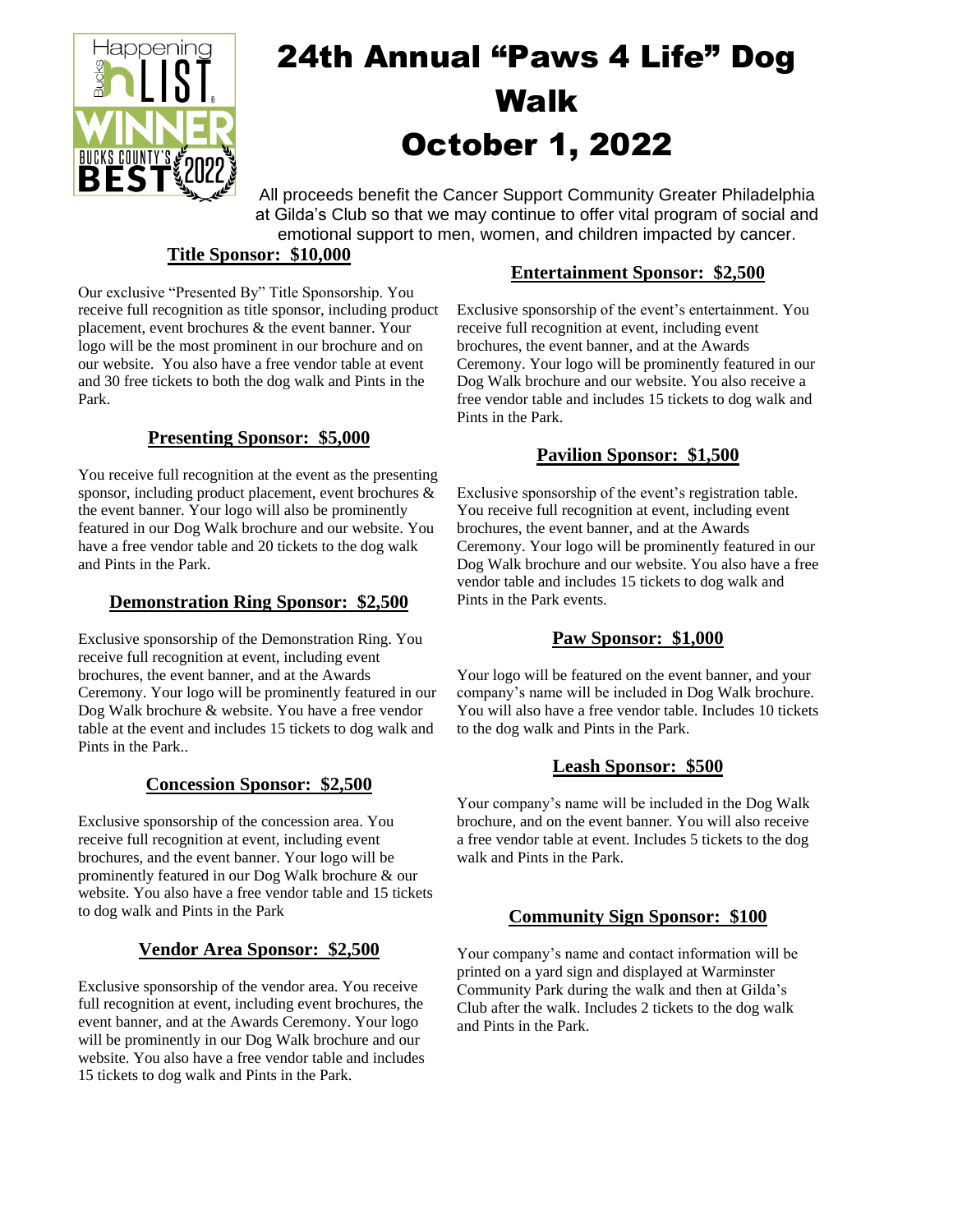

# 24th Annual "Paws 4 Life" Dog Walk October 1, 2022

All proceeds benefit the Cancer Support Community Greater Philadelphia at Gilda's Club so that we may continue to offer vital program of social and emotional support to men, women, and children impacted by cancer.

#### **Title Sponsor: \$10,000**

Our exclusive "Presented By" Title Sponsorship. You receive full recognition as title sponsor, including product placement, event brochures & the event banner. Your logo will be the most prominent in our brochure and on our website. You also have a free vendor table at event and 30 free tickets to both the dog walk and Pints in the Park.

# **Presenting Sponsor: \$5,000**

You receive full recognition at the event as the presenting sponsor, including product placement, event brochures & the event banner. Your logo will also be prominently featured in our Dog Walk brochure and our website. You have a free vendor table and 20 tickets to the dog walk and Pints in the Park.

#### **Demonstration Ring Sponsor: \$2,500**

Exclusive sponsorship of the Demonstration Ring. You receive full recognition at event, including event brochures, the event banner, and at the Awards Ceremony. Your logo will be prominently featured in our Dog Walk brochure & website. You have a free vendor table at the event and includes 15 tickets to dog walk and Pints in the Park..

# **Concession Sponsor: \$2,500**

Exclusive sponsorship of the concession area. You receive full recognition at event, including event brochures, and the event banner. Your logo will be prominently featured in our Dog Walk brochure & our website. You also have a free vendor table and 15 tickets to dog walk and Pints in the Park

#### **Vendor Area Sponsor: \$2,500**

Exclusive sponsorship of the vendor area. You receive full recognition at event, including event brochures, the event banner, and at the Awards Ceremony. Your logo will be prominently in our Dog Walk brochure and our website. You also have a free vendor table and includes 15 tickets to dog walk and Pints in the Park.

# **Entertainment Sponsor: \$2,500**

Exclusive sponsorship of the event's entertainment. You receive full recognition at event, including event brochures, the event banner, and at the Awards Ceremony. Your logo will be prominently featured in our Dog Walk brochure and our website. You also receive a free vendor table and includes 15 tickets to dog walk and Pints in the Park.

# **Pavilion Sponsor: \$1,500**

Exclusive sponsorship of the event's registration table. You receive full recognition at event, including event brochures, the event banner, and at the Awards Ceremony. Your logo will be prominently featured in our Dog Walk brochure and our website. You also have a free vendor table and includes 15 tickets to dog walk and Pints in the Park events.

# **Paw Sponsor: \$1,000**

Your logo will be featured on the event banner, and your company's name will be included in Dog Walk brochure. You will also have a free vendor table. Includes 10 tickets to the dog walk and Pints in the Park.

# **Leash Sponsor: \$500**

Your company's name will be included in the Dog Walk brochure, and on the event banner. You will also receive a free vendor table at event. Includes 5 tickets to the dog walk and Pints in the Park.

# **Community Sign Sponsor: \$100**

Your company's name and contact information will be printed on a yard sign and displayed at Warminster Community Park during the walk and then at Gilda's Club after the walk. Includes 2 tickets to the dog walk and Pints in the Park.